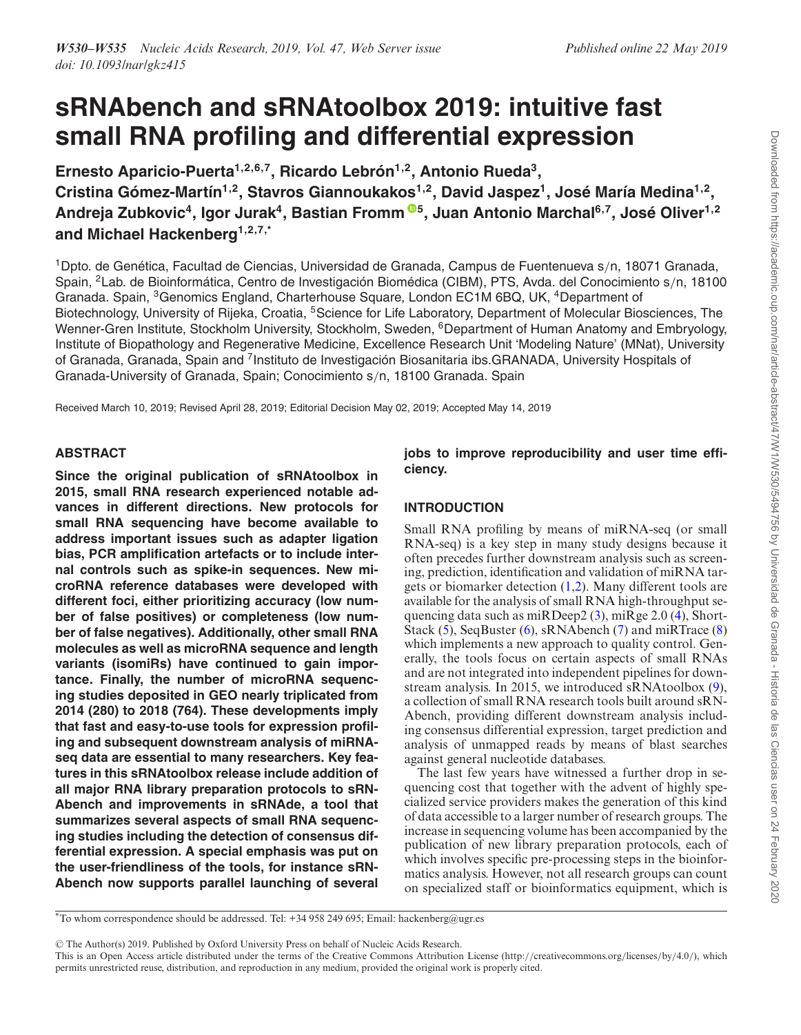# **sRNAbench and sRNAtoolbox 2019: intuitive fast small RNA profiling and differential expression**

**Ernesto Aparicio-Puerta1,2,6,7, Ricardo Lebron´ 1,2, Antonio Rueda3, Cristina Gómez-Martín<sup>1,2</sup>, Stavros Giannoukakos<sup>1,2</sup>, David Jaspez<sup>1</sup>, José María Medina<sup>1,2</sup>, Andreja Zubkovic4, Igor Jurak4, Bastian Fromm [5](http://orcid.org/0000-0003-0352-3037), Juan Antonio Marchal6,7, Jose Oliver ´ 1,2 and Michael Hackenberg1,2,7,\***

 $1$ Dpto. de Genética, Facultad de Ciencias, Universidad de Granada, Campus de Fuentenueva s/n, 18071 Granada, Spain, <sup>2</sup>Lab. de Bioinformática, Centro de Investigación Biomédica (CIBM), PTS, Avda. del Conocimiento s/n, 18100 Granada. Spain, 3Genomics England, Charterhouse Square, London EC1M 6BQ, UK, 4Department of Biotechnology, University of Rijeka, Croatia, 5Science for Life Laboratory, Department of Molecular Biosciences, The Wenner-Gren Institute, Stockholm University, Stockholm, Sweden, <sup>6</sup>Department of Human Anatomy and Embryology, Institute of Biopathology and Regenerative Medicine, Excellence Research Unit 'Modeling Nature' (MNat), University of Granada, Granada, Spain and <sup>7</sup>Instituto de Investigación Biosanitaria ibs.GRANADA, University Hospitals of Granada-University of Granada, Spain; Conocimiento s/n, 18100 Granada. Spain

Received March 10, 2019; Revised April 28, 2019; Editorial Decision May 02, 2019; Accepted May 14, 2019

## **ABSTRACT**

**Since the original publication of sRNAtoolbox in 2015, small RNA research experienced notable advances in different directions. New protocols for small RNA sequencing have become available to address important issues such as adapter ligation bias, PCR amplification artefacts or to include internal controls such as spike-in sequences. New microRNA reference databases were developed with different foci, either prioritizing accuracy (low number of false positives) or completeness (low number of false negatives). Additionally, other small RNA molecules as well as microRNA sequence and length variants (isomiRs) have continued to gain importance. Finally, the number of microRNA sequencing studies deposited in GEO nearly triplicated from 2014 (280) to 2018 (764). These developments imply that fast and easy-to-use tools for expression profiling and subsequent downstream analysis of miRNAseq data are essential to many researchers. Key features in this sRNAtoolbox release include addition of all major RNA library preparation protocols to sRN-Abench and improvements in sRNAde, a tool that summarizes several aspects of small RNA sequencing studies including the detection of consensus differential expression. A special emphasis was put on the user-friendliness of the tools, for instance sRN-Abench now supports parallel launching of several** **jobs to improve reproducibility and user time efficiency.**

# **INTRODUCTION**

Small RNA profiling by means of miRNA-seq (or small RNA-seq) is a key step in many study designs because it often precedes further downstream analysis such as screening, prediction, identification and validation of miRNA targets or biomarker detection [\(1,](#page-4-0)[2\)](#page-5-0). Many different tools are available for the analysis of small RNA high-throughput sequencing data such as miRDeep2 [\(3\)](#page-5-0), miRge 2.0 [\(4\)](#page-5-0), Short-Stack [\(5\)](#page-5-0), SeqBuster [\(6\)](#page-5-0), sRNAbench [\(7\)](#page-5-0) and miRTrace [\(8\)](#page-5-0) which implements a new approach to quality control. Generally, the tools focus on certain aspects of small RNAs and are not integrated into independent pipelines for downstream analysis. In 2015, we introduced sRNAtoolbox [\(9\)](#page-5-0), a collection of small RNA research tools built around sRN-Abench, providing different downstream analysis including consensus differential expression, target prediction and analysis of unmapped reads by means of blast searches against general nucleotide databases.

The last few years have witnessed a further drop in sequencing cost that together with the advent of highly specialized service providers makes the generation of this kind of data accessible to a larger number of research groups. The increase in sequencing volume has been accompanied by the publication of new library preparation protocols, each of which involves specific pre-processing steps in the bioinformatics analysis. However, not all research groups can count on specialized staff or bioinformatics equipment, which is

-<sup>C</sup> The Author(s) 2019. Published by Oxford University Press on behalf of Nucleic Acids Research.

<sup>\*</sup>To whom correspondence should be addressed. Tel: +34 958 249 695; Email: hackenberg@ugr.es

This is an Open Access article distributed under the terms of the Creative Commons Attribution License (http://creativecommons.org/licenses/by/4.0/), which permits unrestricted reuse, distribution, and reproduction in any medium, provided the original work is properly cited.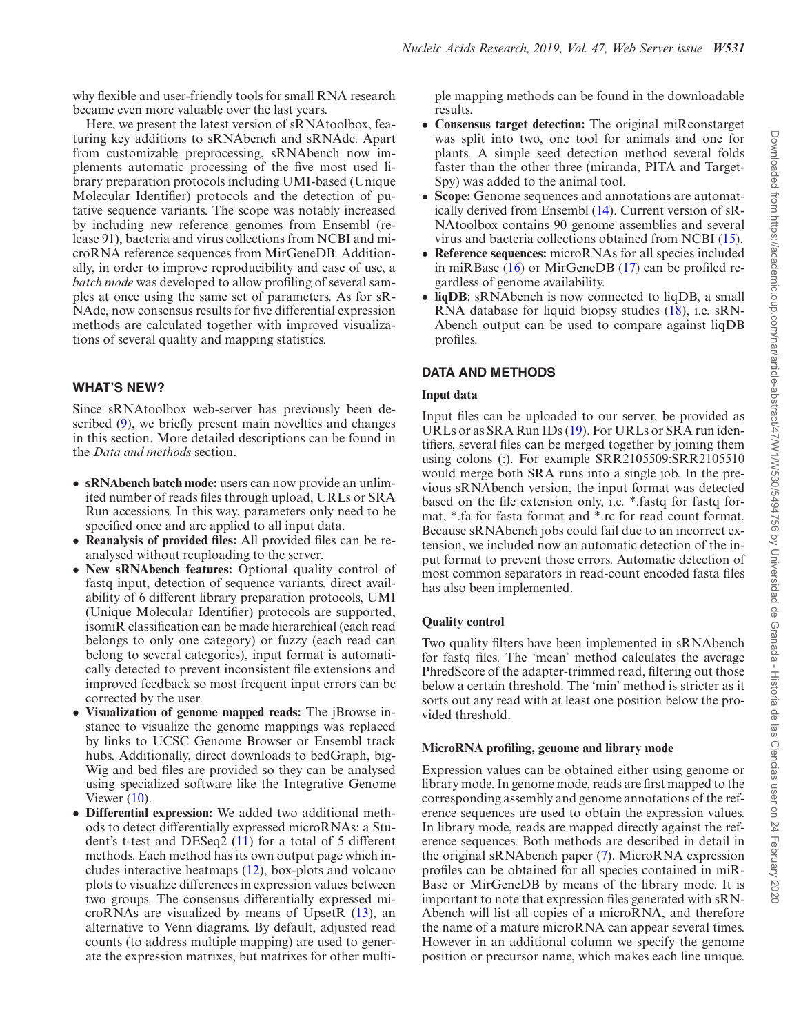why flexible and user-friendly tools for small RNA research became even more valuable over the last years.

Here, we present the latest version of sRNAtoolbox, featuring key additions to sRNAbench and sRNAde. Apart from customizable preprocessing, sRNAbench now implements automatic processing of the five most used library preparation protocols including UMI-based (Unique Molecular Identifier) protocols and the detection of putative sequence variants. The scope was notably increased by including new reference genomes from Ensembl (release 91), bacteria and virus collections from NCBI and microRNA reference sequences from MirGeneDB. Additionally, in order to improve reproducibility and ease of use, a *batch mode* was developed to allow profiling of several samples at once using the same set of parameters. As for sR-NAde, now consensus results for five differential expression methods are calculated together with improved visualizations of several quality and mapping statistics.

# **WHAT'S NEW?**

Since sRNAtoolbox web-server has previously been de-scribed [\(9\)](#page-5-0), we briefly present main novelties and changes in this section. More detailed descriptions can be found in the *Data and methods* section.

- **sRNAbench batch mode:** users can now provide an unlimited number of reads files through upload, URLs or SRA Run accessions. In this way, parameters only need to be specified once and are applied to all input data.
- **Reanalysis of provided files:** All provided files can be reanalysed without reuploading to the server.
- **New sRNAbench features:** Optional quality control of fastq input, detection of sequence variants, direct availability of 6 different library preparation protocols, UMI (Unique Molecular Identifier) protocols are supported, isomiR classification can be made hierarchical (each read belongs to only one category) or fuzzy (each read can belong to several categories), input format is automatically detected to prevent inconsistent file extensions and improved feedback so most frequent input errors can be corrected by the user.
- **Visualization of genome mapped reads:** The jBrowse instance to visualize the genome mappings was replaced by links to UCSC Genome Browser or Ensembl track hubs. Additionally, direct downloads to bedGraph, big-Wig and bed files are provided so they can be analysed using specialized software like the Integrative Genome Viewer [\(10\)](#page-5-0).
- **Differential expression:** We added two additional methods to detect differentially expressed microRNAs: a Student's t-test and DESeq2 [\(11\)](#page-5-0) for a total of 5 different methods. Each method has its own output page which includes interactive heatmaps [\(12\)](#page-5-0), box-plots and volcano plots to visualize differences in expression values between two groups. The consensus differentially expressed microRNAs are visualized by means of UpsetR  $(13)$ , an alternative to Venn diagrams. By default, adjusted read counts (to address multiple mapping) are used to generate the expression matrixes, but matrixes for other multi-

ple mapping methods can be found in the downloadable results.

- **Consensus target detection:** The original miRconstarget was split into two, one tool for animals and one for plants. A simple seed detection method several folds faster than the other three (miranda, PITA and Target-Spy) was added to the animal tool.
- **Scope:** Genome sequences and annotations are automatically derived from Ensembl [\(14\)](#page-5-0). Current version of sR-NAtoolbox contains 90 genome assemblies and several virus and bacteria collections obtained from NCBI [\(15\)](#page-5-0).
- **Reference sequences:** microRNAs for all species included in miRBase [\(16\)](#page-5-0) or MirGeneDB [\(17\)](#page-5-0) can be profiled regardless of genome availability.
- **liqDB**: sRNAbench is now connected to liqDB, a small RNA database for liquid biopsy studies [\(18\)](#page-5-0), i.e. sRN-Abench output can be used to compare against liqDB profiles.

# **DATA AND METHODS**

## **Input data**

Input files can be uploaded to our server, be provided as URLs or as SRA Run IDs [\(19\)](#page-5-0). For URLs or SRA run identifiers, several files can be merged together by joining them using colons (:). For example SRR2105509:SRR2105510 would merge both SRA runs into a single job. In the previous sRNAbench version, the input format was detected based on the file extension only, i.e. \*.fastq for fastq format, \*.fa for fasta format and \*.rc for read count format. Because sRNAbench jobs could fail due to an incorrect extension, we included now an automatic detection of the input format to prevent those errors. Automatic detection of most common separators in read-count encoded fasta files has also been implemented.

# **Quality control**

Two quality filters have been implemented in sRNAbench for fastq files. The 'mean' method calculates the average PhredScore of the adapter-trimmed read, filtering out those below a certain threshold. The 'min' method is stricter as it sorts out any read with at least one position below the provided threshold.

## **MicroRNA profiling, genome and library mode**

Expression values can be obtained either using genome or library mode. In genome mode, reads are first mapped to the corresponding assembly and genome annotations of the reference sequences are used to obtain the expression values. In library mode, reads are mapped directly against the reference sequences. Both methods are described in detail in the original sRNAbench paper [\(7\)](#page-5-0). MicroRNA expression profiles can be obtained for all species contained in miR-Base or MirGeneDB by means of the library mode. It is important to note that expression files generated with sRN-Abench will list all copies of a microRNA, and therefore the name of a mature microRNA can appear several times. However in an additional column we specify the genome position or precursor name, which makes each line unique.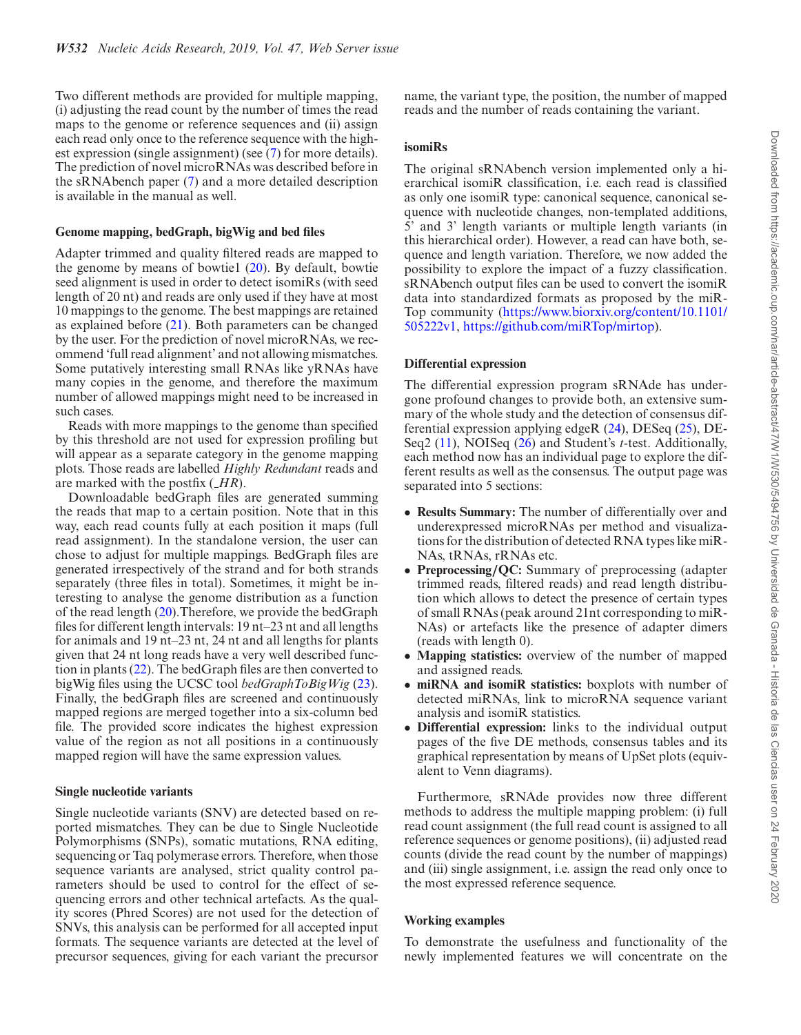Two different methods are provided for multiple mapping, (i) adjusting the read count by the number of times the read maps to the genome or reference sequences and (ii) assign each read only once to the reference sequence with the highest expression (single assignment) (see [\(7\)](#page-5-0) for more details). The prediction of novel microRNAs was described before in the sRNAbench paper [\(7\)](#page-5-0) and a more detailed description is available in the manual as well.

#### **Genome mapping, bedGraph, bigWig and bed files**

Adapter trimmed and quality filtered reads are mapped to the genome by means of bowtie1  $(20)$ . By default, bowtie seed alignment is used in order to detect isomiRs (with seed length of 20 nt) and reads are only used if they have at most 10 mappings to the genome. The best mappings are retained as explained before [\(21\)](#page-5-0). Both parameters can be changed by the user. For the prediction of novel microRNAs, we recommend 'full read alignment' and not allowing mismatches. Some putatively interesting small RNAs like yRNAs have many copies in the genome, and therefore the maximum number of allowed mappings might need to be increased in such cases.

Reads with more mappings to the genome than specified by this threshold are not used for expression profiling but will appear as a separate category in the genome mapping plots. Those reads are labelled *Highly Redundant* reads and are marked with the postfix ( *HR*).

Downloadable bedGraph files are generated summing the reads that map to a certain position. Note that in this way, each read counts fully at each position it maps (full read assignment). In the standalone version, the user can chose to adjust for multiple mappings. BedGraph files are generated irrespectively of the strand and for both strands separately (three files in total). Sometimes, it might be interesting to analyse the genome distribution as a function of the read length [\(20\)](#page-5-0).Therefore, we provide the bedGraph files for different length intervals: 19 nt–23 nt and all lengths for animals and 19 nt–23 nt, 24 nt and all lengths for plants given that 24 nt long reads have a very well described function in plants [\(22\)](#page-5-0). The bedGraph files are then converted to bigWig files using the UCSC tool *bedGraphToBigWig* [\(23\)](#page-5-0). Finally, the bedGraph files are screened and continuously mapped regions are merged together into a six-column bed file. The provided score indicates the highest expression value of the region as not all positions in a continuously mapped region will have the same expression values.

#### **Single nucleotide variants**

Single nucleotide variants (SNV) are detected based on reported mismatches. They can be due to Single Nucleotide Polymorphisms (SNPs), somatic mutations, RNA editing, sequencing or Taq polymerase errors. Therefore, when those sequence variants are analysed, strict quality control parameters should be used to control for the effect of sequencing errors and other technical artefacts. As the quality scores (Phred Scores) are not used for the detection of SNVs, this analysis can be performed for all accepted input formats. The sequence variants are detected at the level of precursor sequences, giving for each variant the precursor

name, the variant type, the position, the number of mapped reads and the number of reads containing the variant.

#### **isomiRs**

The original sRNAbench version implemented only a hierarchical isomiR classification, i.e. each read is classified as only one isomiR type: canonical sequence, canonical sequence with nucleotide changes, non-templated additions, 5' and 3' length variants or multiple length variants (in this hierarchical order). However, a read can have both, sequence and length variation. Therefore, we now added the possibility to explore the impact of a fuzzy classification. sRNAbench output files can be used to convert the isomiR data into standardized formats as proposed by the miR-[Top community \(https://www.biorxiv.org/content/10.1101/](https://www.biorxiv.org/content/10.1101/505222v1) 505222v1, [https://github.com/miRTop/mirtop\)](https://github.com/miRTop/mirtop).

#### **Differential expression**

The differential expression program sRNAde has undergone profound changes to provide both, an extensive summary of the whole study and the detection of consensus differential expression applying edgeR [\(24\)](#page-5-0), DESeq [\(25\)](#page-5-0), DE-Seq2 [\(11\)](#page-5-0), NOISeq [\(26\)](#page-5-0) and Student's *t*-test. Additionally, each method now has an individual page to explore the different results as well as the consensus. The output page was separated into 5 sections:

- **Results Summary:** The number of differentially over and underexpressed microRNAs per method and visualizations for the distribution of detected RNA types like miR-NAs, tRNAs, rRNAs etc.
- **Preprocessing***/***QC:** Summary of preprocessing (adapter trimmed reads, filtered reads) and read length distribution which allows to detect the presence of certain types of small RNAs (peak around 21nt corresponding to miR-NAs) or artefacts like the presence of adapter dimers (reads with length 0).
- **Mapping statistics:** overview of the number of mapped and assigned reads.
- **miRNA and isomiR statistics:** boxplots with number of detected miRNAs, link to microRNA sequence variant analysis and isomiR statistics.
- **Differential expression:** links to the individual output pages of the five DE methods, consensus tables and its graphical representation by means of UpSet plots (equivalent to Venn diagrams).

Furthermore, sRNAde provides now three different methods to address the multiple mapping problem: (i) full read count assignment (the full read count is assigned to all reference sequences or genome positions), (ii) adjusted read counts (divide the read count by the number of mappings) and (iii) single assignment, i.e. assign the read only once to the most expressed reference sequence.

#### **Working examples**

To demonstrate the usefulness and functionality of the newly implemented features we will concentrate on the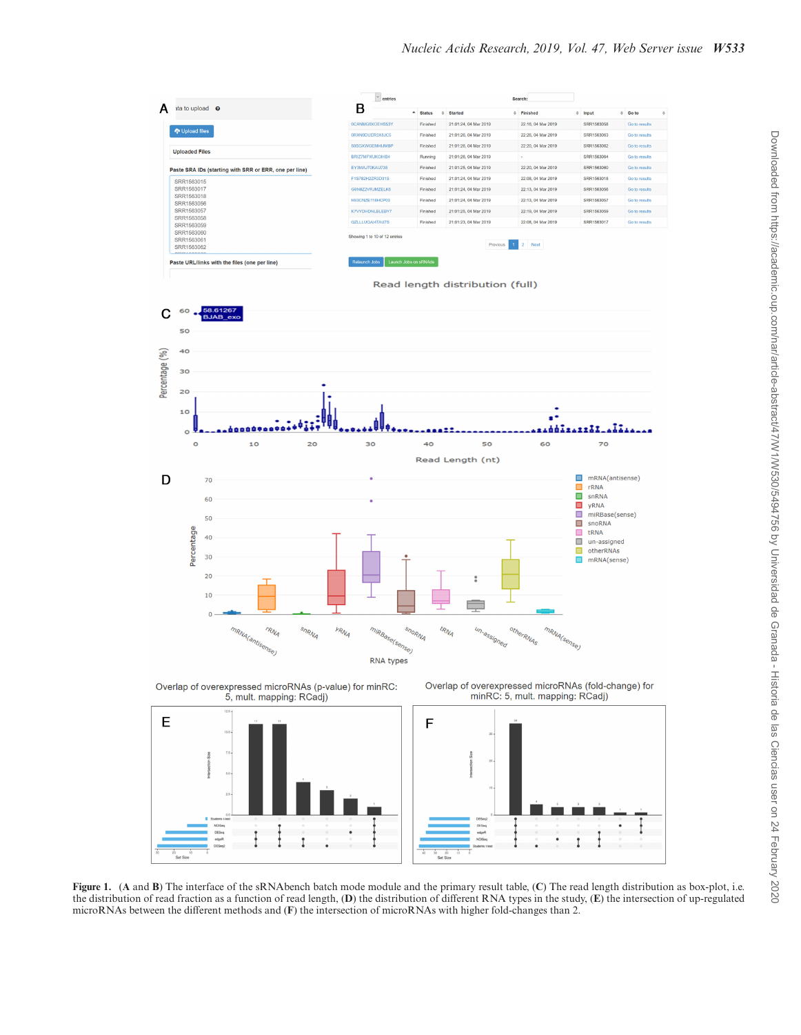<span id="page-3-0"></span>

Overlap of overexpressed microRNAs (p-value) for minRC: 5, mult. mapping: RCadj)



Overlap of overexpressed microRNAs (fold-change) for minRC: 5, mult. mapping: RCadj)



**Figure 1.** (**A** and **B**) The interface of the sRNAbench batch mode module and the primary result table, (**C**) The read length distribution as box-plot, i.e. the distribution of read fraction as a function of read length, (**D**) the distribution of different RNA types in the study, (**E**) the intersection of up-regulated microRNAs between the different methods and (**F**) the intersection of microRNAs with higher fold-changes than 2.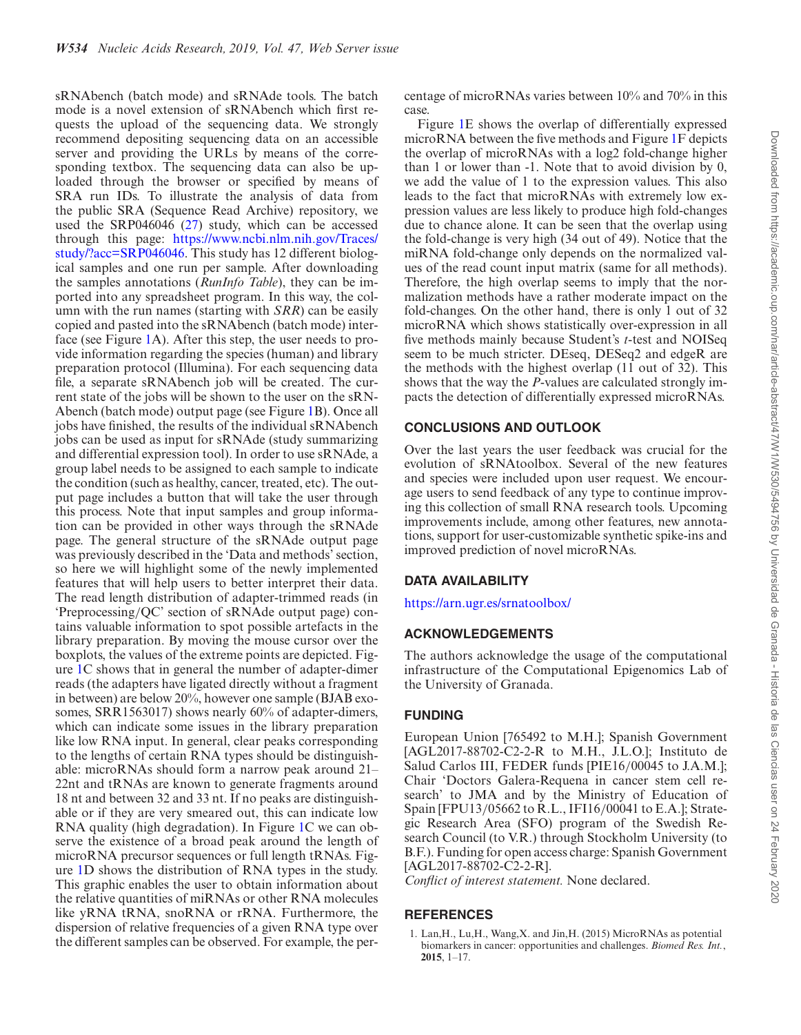<span id="page-4-0"></span>sRNAbench (batch mode) and sRNAde tools. The batch mode is a novel extension of sRNAbench which first requests the upload of the sequencing data. We strongly recommend depositing sequencing data on an accessible server and providing the URLs by means of the corresponding textbox. The sequencing data can also be uploaded through the browser or specified by means of SRA run IDs. To illustrate the analysis of data from the public SRA (Sequence Read Archive) repository, we used the SRP046046 [\(27\)](#page-5-0) study, which can be accessed through this page: https://www.ncbi.nlm.nih.gov/Traces/ [study/?acc=SRP046046. This study has 12 different biolog](https://www.ncbi.nlm.nih.gov/Traces/study/?acc=SRP046046)ical samples and one run per sample. After downloading the samples annotations (*RunInfo Table*), they can be imported into any spreadsheet program. In this way, the column with the run names (starting with *SRR*) can be easily copied and pasted into the sRNAbench (batch mode) interface (see Figure [1A](#page-3-0)). After this step, the user needs to provide information regarding the species (human) and library preparation protocol (Illumina). For each sequencing data file, a separate sRNAbench job will be created. The current state of the jobs will be shown to the user on the sRN-Abench (batch mode) output page (see Figure [1B](#page-3-0)). Once all jobs have finished, the results of the individual sRNAbench jobs can be used as input for sRNAde (study summarizing and differential expression tool). In order to use sRNAde, a group label needs to be assigned to each sample to indicate the condition (such as healthy, cancer, treated, etc). The output page includes a button that will take the user through this process. Note that input samples and group information can be provided in other ways through the sRNAde page. The general structure of the sRNAde output page was previously described in the 'Data and methods' section, so here we will highlight some of the newly implemented features that will help users to better interpret their data. The read length distribution of adapter-trimmed reads (in 'Preprocessing/QC' section of sRNAde output page) contains valuable information to spot possible artefacts in the library preparation. By moving the mouse cursor over the boxplots, the values of the extreme points are depicted. Figure [1C](#page-3-0) shows that in general the number of adapter-dimer reads (the adapters have ligated directly without a fragment in between) are below 20%, however one sample (BJAB exosomes, SRR1563017) shows nearly 60% of adapter-dimers, which can indicate some issues in the library preparation like low RNA input. In general, clear peaks corresponding to the lengths of certain RNA types should be distinguishable: microRNAs should form a narrow peak around 21– 22nt and tRNAs are known to generate fragments around 18 nt and between 32 and 33 nt. If no peaks are distinguishable or if they are very smeared out, this can indicate low RNA quality (high degradation). In Figure [1C](#page-3-0) we can observe the existence of a broad peak around the length of microRNA precursor sequences or full length tRNAs. Figure [1D](#page-3-0) shows the distribution of RNA types in the study. This graphic enables the user to obtain information about the relative quantities of miRNAs or other RNA molecules like yRNA tRNA, snoRNA or rRNA. Furthermore, the dispersion of relative frequencies of a given RNA type over the different samples can be observed. For example, the per-

centage of microRNAs varies between 10% and 70% in this case.

Figure [1E](#page-3-0) shows the overlap of differentially expressed microRNA between the five methods and Figure [1F](#page-3-0) depicts the overlap of microRNAs with a log2 fold-change higher than 1 or lower than -1. Note that to avoid division by 0, we add the value of 1 to the expression values. This also leads to the fact that microRNAs with extremely low expression values are less likely to produce high fold-changes due to chance alone. It can be seen that the overlap using the fold-change is very high (34 out of 49). Notice that the miRNA fold-change only depends on the normalized values of the read count input matrix (same for all methods). Therefore, the high overlap seems to imply that the normalization methods have a rather moderate impact on the fold-changes. On the other hand, there is only 1 out of 32 microRNA which shows statistically over-expression in all five methods mainly because Student's *t*-test and NOISeq seem to be much stricter. DEseq, DESeq2 and edgeR are the methods with the highest overlap (11 out of 32). This shows that the way the *P*-values are calculated strongly impacts the detection of differentially expressed microRNAs.

## **CONCLUSIONS AND OUTLOOK**

Over the last years the user feedback was crucial for the evolution of sRNAtoolbox. Several of the new features and species were included upon user request. We encourage users to send feedback of any type to continue improving this collection of small RNA research tools. Upcoming improvements include, among other features, new annotations, support for user-customizable synthetic spike-ins and improved prediction of novel microRNAs.

# **DATA AVAILABILITY**

<https://arn.ugr.es/srnatoolbox/>

## **ACKNOWLEDGEMENTS**

The authors acknowledge the usage of the computational infrastructure of the Computational Epigenomics Lab of the University of Granada.

## **FUNDING**

European Union [765492 to M.H.]; Spanish Government [AGL2017-88702-C2-2-R to M.H., J.L.O.]; Instituto de Salud Carlos III, FEDER funds [PIE16/00045 to J.A.M.]; Chair 'Doctors Galera-Requena in cancer stem cell research' to JMA and by the Ministry of Education of Spain [FPU13/05662 to R.L., IFI16/00041 to E.A.]; Strategic Research Area (SFO) program of the Swedish Research Council (to V.R.) through Stockholm University (to B.F.). Funding for open access charge: Spanish Government [AGL2017-88702-C2-2-R].

*Conflict of interest statement.* None declared.

# **REFERENCES**

1. Lan,H., Lu,H., Wang,X. and Jin,H. (2015) MicroRNAs as potential biomarkers in cancer: opportunities and challenges. *Biomed Res. Int.*, **2015**, 1–17.